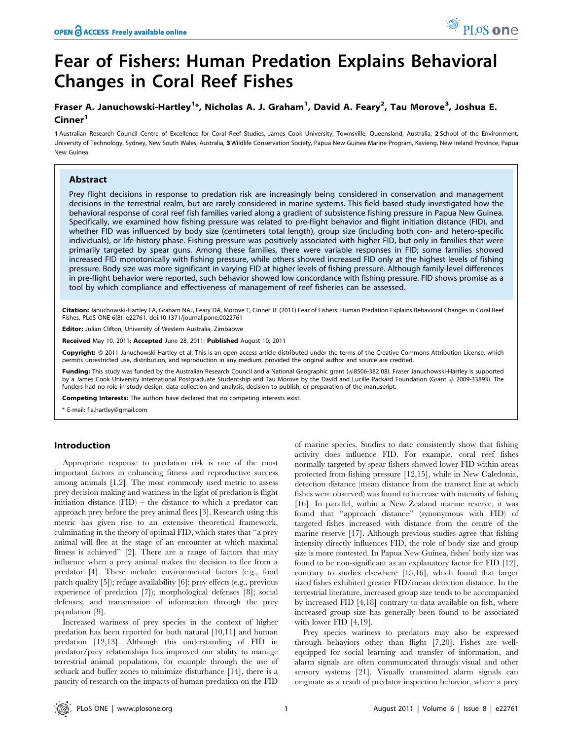# Fear of Fishers: Human Predation Explains Behavioral Changes in Coral Reef Fishes

# Fraser A. Januchowski-Hartley<sup>1</sup>\*, Nicholas A. J. Graham<sup>1</sup>, David A. Feary<sup>2</sup>, Tau Morove<sup>3</sup>, Joshua E. Cinner<sup>1</sup>

1 Australian Research Council Centre of Excellence for Coral Reef Studies, James Cook University, Townsville, Queensland, Australia, 2 School of the Environment, University of Technology, Sydney, New South Wales, Australia, 3 Wildlife Conservation Society, Papua New Guinea Marine Program, Kavieng, New Ireland Province, Papua New Guinea

## Abstract

Prey flight decisions in response to predation risk are increasingly being considered in conservation and management decisions in the terrestrial realm, but are rarely considered in marine systems. This field-based study investigated how the behavioral response of coral reef fish families varied along a gradient of subsistence fishing pressure in Papua New Guinea. Specifically, we examined how fishing pressure was related to pre-flight behavior and flight initiation distance (FID), and whether FID was influenced by body size (centimeters total length), group size (including both con- and hetero-specific individuals), or life-history phase. Fishing pressure was positively associated with higher FID, but only in families that were primarily targeted by spear guns. Among these families, there were variable responses in FID; some families showed increased FID monotonically with fishing pressure, while others showed increased FID only at the highest levels of fishing pressure. Body size was more significant in varying FID at higher levels of fishing pressure. Although family-level differences in pre-flight behavior were reported, such behavior showed low concordance with fishing pressure. FID shows promise as a tool by which compliance and effectiveness of management of reef fisheries can be assessed.

Citation: Januchowski-Hartley FA, Graham NAJ, Feary DA, Morove T, Cinner JE (2011) Fear of Fishers: Human Predation Explains Behavioral Changes in Coral Reef Fishes. PLoS ONE 6(8): e22761. doi:10.1371/journal.pone.0022761

Editor: Julian Clifton, University of Western Australia, Zimbabwe

Received May 10, 2011; Accepted June 28, 2011; Published August 10, 2011

Copyright: © 2011 Januchowski-Hartley et al. This is an open-access article distributed under the terms of the Creative Commons Attribution License, which permits unrestricted use, distribution, and reproduction in any medium, provided the original author and source are credited.

Funding: This study was funded by the Australian Research Council and a National Geographic grant (#8506-382 08). Fraser Januchowski-Hartley is supported by a James Cook University International Postgraduate Studentship and Tau Morove by the David and Lucille Packard Foundation (Grant # 2009-33893). The funders had no role in study design, data collection and analysis, decision to publish, or preparation of the manuscript.

Competing Interests: The authors have declared that no competing interests exist.

\* E-mail: f.a.hartley@gmail.com

## Introduction

Appropriate response to predation risk is one of the most important factors in enhancing fitness and reproductive success among animals [1,2]. The most commonly used metric to assess prey decision making and wariness in the light of predation is flight initiation distance  $(FID)$  – the distance to which a predator can approach prey before the prey animal flees [3]. Research using this metric has given rise to an extensive theoretical framework, culminating in the theory of optimal FID, which states that ''a prey animal will flee at the stage of an encounter at which maximal fitness is achieved'' [2]. There are a range of factors that may influence when a prey animal makes the decision to flee from a predator [4]. These include: environmental factors (e.g., food patch quality [5]); refuge availability [6]; prey effects (e.g., previous experience of predation [7]); morphological defenses [8]; social defenses; and transmission of information through the prey population [9].

Increased wariness of prey species in the context of higher predation has been reported for both natural [10,11] and human predation [12,13]. Although this understanding of FID in predator/prey relationships has improved our ability to manage terrestrial animal populations, for example through the use of setback and buffer zones to minimize disturbance [14], there is a paucity of research on the impacts of human predation on the FID

of marine species. Studies to date consistently show that fishing activity does influence FID. For example, coral reef fishes normally targeted by spear fishers showed lower FID within areas protected from fishing pressure [12,15], while in New Caledonia, detection distance (mean distance from the transect line at which fishes were observed) was found to increase with intensity of fishing [16]. In parallel, within a New Zealand marine reserve, it was found that ''approach distance'' (synonymous with FID) of targeted fishes increased with distance from the centre of the marine reserve [17]. Although previous studies agree that fishing intensity directly influences FID, the role of body size and group size is more contested. In Papua New Guinea, fishes' body size was found to be non-significant as an explanatory factor for FID [12], contrary to studies elsewhere [15,16], which found that larger sized fishes exhibited greater FID/mean detection distance. In the terrestrial literature, increased group size tends to be accompanied by increased FID [4,18] contrary to data available on fish, where increased group size has generally been found to be associated with lower FID [4,19].

Prey species wariness to predators may also be expressed through behaviors other than flight [7,20]. Fishes are wellequipped for social learning and transfer of information, and alarm signals are often communicated through visual and other sensory systems [21]. Visually transmitted alarm signals can originate as a result of predator inspection behavior, where a prey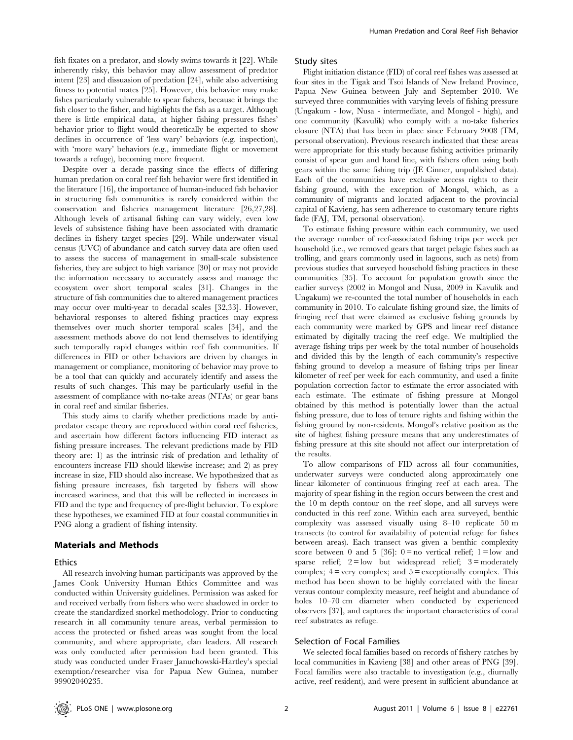fish fixates on a predator, and slowly swims towards it [22]. While inherently risky, this behavior may allow assessment of predator intent [23] and dissuasion of predation [24], while also advertising fitness to potential mates [25]. However, this behavior may make fishes particularly vulnerable to spear fishers, because it brings the fish closer to the fisher, and highlights the fish as a target. Although there is little empirical data, at higher fishing pressures fishes' behavior prior to flight would theoretically be expected to show declines in occurrence of 'less wary' behaviors (e.g. inspection), with 'more wary' behaviors (e.g., immediate flight or movement towards a refuge), becoming more frequent.

Despite over a decade passing since the effects of differing human predation on coral reef fish behavior were first identified in the literature [16], the importance of human-induced fish behavior in structuring fish communities is rarely considered within the conservation and fisheries management literature [26,27,28]. Although levels of artisanal fishing can vary widely, even low levels of subsistence fishing have been associated with dramatic declines in fishery target species [29]. While underwater visual census (UVC) of abundance and catch survey data are often used to assess the success of management in small-scale subsistence fisheries, they are subject to high variance [30] or may not provide the information necessary to accurately assess and manage the ecosystem over short temporal scales [31]. Changes in the structure of fish communities due to altered management practices may occur over multi-year to decadal scales [32,33]. However, behavioral responses to altered fishing practices may express themselves over much shorter temporal scales [34], and the assessment methods above do not lend themselves to identifying such temporally rapid changes within reef fish communities. If differences in FID or other behaviors are driven by changes in management or compliance, monitoring of behavior may prove to be a tool that can quickly and accurately identify and assess the results of such changes. This may be particularly useful in the assessment of compliance with no-take areas (NTAs) or gear bans in coral reef and similar fisheries.

This study aims to clarify whether predictions made by antipredator escape theory are reproduced within coral reef fisheries, and ascertain how different factors influencing FID interact as fishing pressure increases. The relevant predictions made by FID theory are: 1) as the intrinsic risk of predation and lethality of encounters increase FID should likewise increase; and 2) as prey increase in size, FID should also increase. We hypothesized that as fishing pressure increases, fish targeted by fishers will show increased wariness, and that this will be reflected in increases in FID and the type and frequency of pre-flight behavior. To explore these hypotheses, we examined FID at four coastal communities in PNG along a gradient of fishing intensity.

### Materials and Methods

#### Ethics

All research involving human participants was approved by the James Cook University Human Ethics Committee and was conducted within University guidelines. Permission was asked for and received verbally from fishers who were shadowed in order to create the standardized snorkel methodology. Prior to conducting research in all community tenure areas, verbal permission to access the protected or fished areas was sought from the local community, and where appropriate, clan leaders. All research was only conducted after permission had been granted. This study was conducted under Fraser Januchowski-Hartley's special exemption/researcher visa for Papua New Guinea, number 99902040235.

#### Study sites

Flight initiation distance (FID) of coral reef fishes was assessed at four sites in the Tigak and Tsoi Islands of New Ireland Province, Papua New Guinea between July and September 2010. We surveyed three communities with varying levels of fishing pressure (Ungakum - low, Nusa - intermediate, and Mongol - high), and one community (Kavulik) who comply with a no-take fisheries closure (NTA) that has been in place since February 2008 (TM, personal observation). Previous research indicated that these areas were appropriate for this study because fishing activities primarily consist of spear gun and hand line, with fishers often using both gears within the same fishing trip (JE Cinner, unpublished data). Each of the communities have exclusive access rights to their fishing ground, with the exception of Mongol, which, as a community of migrants and located adjacent to the provincial capital of Kavieng, has seen adherence to customary tenure rights fade (FAJ, TM, personal observation).

To estimate fishing pressure within each community, we used the average number of reef-associated fishing trips per week per household (i.e., we removed gears that target pelagic fishes such as trolling, and gears commonly used in lagoons, such as nets) from previous studies that surveyed household fishing practices in these communities [35]. To account for population growth since the earlier surveys (2002 in Mongol and Nusa, 2009 in Kavulik and Ungakum) we re-counted the total number of households in each community in 2010. To calculate fishing ground size, the limits of fringing reef that were claimed as exclusive fishing grounds by each community were marked by GPS and linear reef distance estimated by digitally tracing the reef edge. We multiplied the average fishing trips per week by the total number of households and divided this by the length of each community's respective fishing ground to develop a measure of fishing trips per linear kilometer of reef per week for each community, and used a finite population correction factor to estimate the error associated with each estimate. The estimate of fishing pressure at Mongol obtained by this method is potentially lower than the actual fishing pressure, due to loss of tenure rights and fishing within the fishing ground by non-residents. Mongol's relative position as the site of highest fishing pressure means that any underestimates of fishing pressure at this site should not affect our interpretation of the results.

To allow comparisons of FID across all four communities, underwater surveys were conducted along approximately one linear kilometer of continuous fringing reef at each area. The majority of spear fishing in the region occurs between the crest and the 10 m depth contour on the reef slope, and all surveys were conducted in this reef zone. Within each area surveyed, benthic complexity was assessed visually using 8–10 replicate 50 m transects (to control for availability of potential refuge for fishes between areas). Each transect was given a benthic complexity score between 0 and 5 [36]:  $0 = no$  vertical relief;  $1 = low$  and sparse relief;  $2 = low$  but widespread relief;  $3 =$  moderately complex;  $4 = \text{very complex}$ ; and  $5 = \text{exceptionally complex}$ . This method has been shown to be highly correlated with the linear versus contour complexity measure, reef height and abundance of holes 10–70 cm diameter when conducted by experienced observers [37], and captures the important characteristics of coral reef substrates as refuge.

## Selection of Focal Families

We selected focal families based on records of fishery catches by local communities in Kavieng [38] and other areas of PNG [39]. Focal families were also tractable to investigation (e.g., diurnally active, reef resident), and were present in sufficient abundance at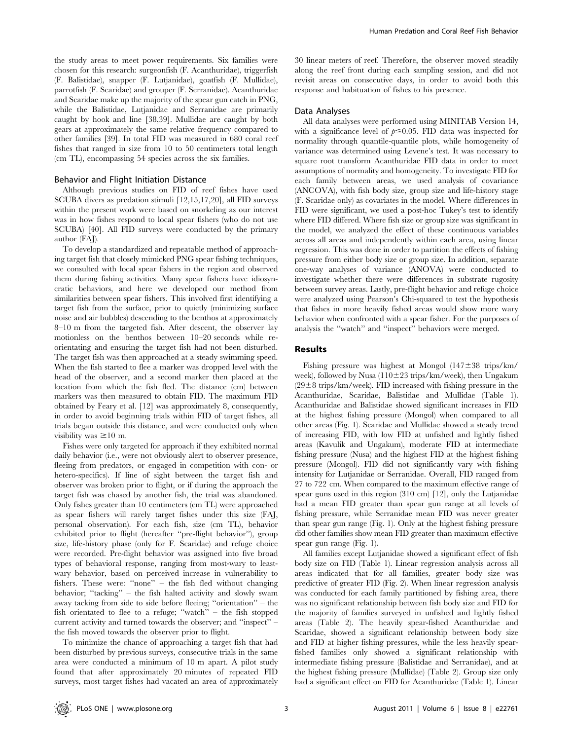the study areas to meet power requirements. Six families were chosen for this research: surgeonfish (F. Acanthuridae), triggerfish (F. Balistidae), snapper (F. Lutjanidae), goatfish (F. Mullidae), parrotfish (F. Scaridae) and grouper (F. Serranidae). Acanthuridae and Scaridae make up the majority of the spear gun catch in PNG, while the Balistidae, Lutjanidae and Serranidae are primarily caught by hook and line [38,39]. Mullidae are caught by both gears at approximately the same relative frequency compared to other families [39]. In total FID was measured in 680 coral reef fishes that ranged in size from 10 to 50 centimeters total length (cm TL), encompassing 54 species across the six families.

#### Behavior and Flight Initiation Distance

Although previous studies on FID of reef fishes have used SCUBA divers as predation stimuli [12,15,17,20], all FID surveys within the present work were based on snorkeling as our interest was in how fishes respond to local spear fishers (who do not use SCUBA) [40]. All FID surveys were conducted by the primary author (FAJ).

To develop a standardized and repeatable method of approaching target fish that closely mimicked PNG spear fishing techniques, we consulted with local spear fishers in the region and observed them during fishing activities. Many spear fishers have idiosyncratic behaviors, and here we developed our method from similarities between spear fishers. This involved first identifying a target fish from the surface, prior to quietly (minimizing surface noise and air bubbles) descending to the benthos at approximately 8–10 m from the targeted fish. After descent, the observer lay motionless on the benthos between 10–20 seconds while reorientating and ensuring the target fish had not been disturbed. The target fish was then approached at a steady swimming speed. When the fish started to flee a marker was dropped level with the head of the observer, and a second marker then placed at the location from which the fish fled. The distance (cm) between markers was then measured to obtain FID. The maximum FID obtained by Feary et al. [12] was approximately 8, consequently, in order to avoid beginning trials within FID of target fishes, all trials began outside this distance, and were conducted only when visibility was  $\geq 10$  m.

Fishes were only targeted for approach if they exhibited normal daily behavior (i.e., were not obviously alert to observer presence, fleeing from predators, or engaged in competition with con- or hetero-specifics). If line of sight between the target fish and observer was broken prior to flight, or if during the approach the target fish was chased by another fish, the trial was abandoned. Only fishes greater than 10 centimeters (cm TL) were approached as spear fishers will rarely target fishes under this size (FAJ, personal observation). For each fish, size (cm TL), behavior exhibited prior to flight (hereafter ''pre-flight behavior''), group size, life-history phase (only for F. Scaridae) and refuge choice were recorded. Pre-flight behavior was assigned into five broad types of behavioral response, ranging from most-wary to leastwary behavior, based on perceived increase in vulnerability to fishers. These were: ''none'' – the fish fled without changing behavior; ''tacking'' – the fish halted activity and slowly swam away tacking from side to side before fleeing; ''orientation'' – the fish orientated to flee to a refuge; ''watch'' – the fish stopped current activity and turned towards the observer; and ''inspect'' – the fish moved towards the observer prior to flight.

To minimize the chance of approaching a target fish that had been disturbed by previous surveys, consecutive trials in the same area were conducted a minimum of 10 m apart. A pilot study found that after approximately 20 minutes of repeated FID surveys, most target fishes had vacated an area of approximately

30 linear meters of reef. Therefore, the observer moved steadily along the reef front during each sampling session, and did not revisit areas on consecutive days, in order to avoid both this response and habituation of fishes to his presence.

#### Data Analyses

All data analyses were performed using MINITAB Version 14, with a significance level of  $p \leq 0.05$ . FID data was inspected for normality through quantile-quantile plots, while homogeneity of variance was determined using Levene's test. It was necessary to square root transform Acanthuridae FID data in order to meet assumptions of normality and homogeneity. To investigate FID for each family between areas, we used analysis of covariance (ANCOVA), with fish body size, group size and life-history stage (F. Scaridae only) as covariates in the model. Where differences in FID were significant, we used a post-hoc Tukey's test to identify where FID differed. Where fish size or group size was significant in the model, we analyzed the effect of these continuous variables across all areas and independently within each area, using linear regression. This was done in order to partition the effects of fishing pressure from either body size or group size. In addition, separate one-way analyses of variance (ANOVA) were conducted to investigate whether there were differences in substrate rugosity between survey areas. Lastly, pre-flight behavior and refuge choice were analyzed using Pearson's Chi-squared to test the hypothesis that fishes in more heavily fished areas would show more wary behavior when confronted with a spear fisher. For the purposes of analysis the ''watch'' and ''inspect'' behaviors were merged.

#### Results

Fishing pressure was highest at Mongol  $(147\pm38 \text{ trips/km})$ week), followed by Nusa (110 $\pm$ 23 trips/km/week), then Ungakum  $(29\pm8 \text{ trips/km/week})$ . FID increased with fishing pressure in the Acanthuridae, Scaridae, Balistidae and Mullidae (Table 1). Acanthuridae and Balistidae showed significant increases in FID at the highest fishing pressure (Mongol) when compared to all other areas (Fig. 1). Scaridae and Mullidae showed a steady trend of increasing FID, with low FID at unfished and lightly fished areas (Kavulik and Ungakum), moderate FID at intermediate fishing pressure (Nusa) and the highest FID at the highest fishing pressure (Mongol). FID did not significantly vary with fishing intensity for Lutjanidae or Serranidae. Overall, FID ranged from 27 to 722 cm. When compared to the maximum effective range of spear guns used in this region (310 cm) [12], only the Lutjanidae had a mean FID greater than spear gun range at all levels of fishing pressure, while Serranidae mean FID was never greater than spear gun range (Fig. 1). Only at the highest fishing pressure did other families show mean FID greater than maximum effective spear gun range (Fig. 1).

All families except Lutjanidae showed a significant effect of fish body size on FID (Table 1). Linear regression analysis across all areas indicated that for all families, greater body size was predictive of greater FID (Fig. 2). When linear regression analysis was conducted for each family partitioned by fishing area, there was no significant relationship between fish body size and FID for the majority of families surveyed in unfished and lightly fished areas (Table 2). The heavily spear-fished Acanthuridae and Scaridae, showed a significant relationship between body size and FID at higher fishing pressures, while the less heavily spearfished families only showed a significant relationship with intermediate fishing pressure (Balistidae and Serranidae), and at the highest fishing pressure (Mullidae) (Table 2). Group size only had a significant effect on FID for Acanthuridae (Table 1). Linear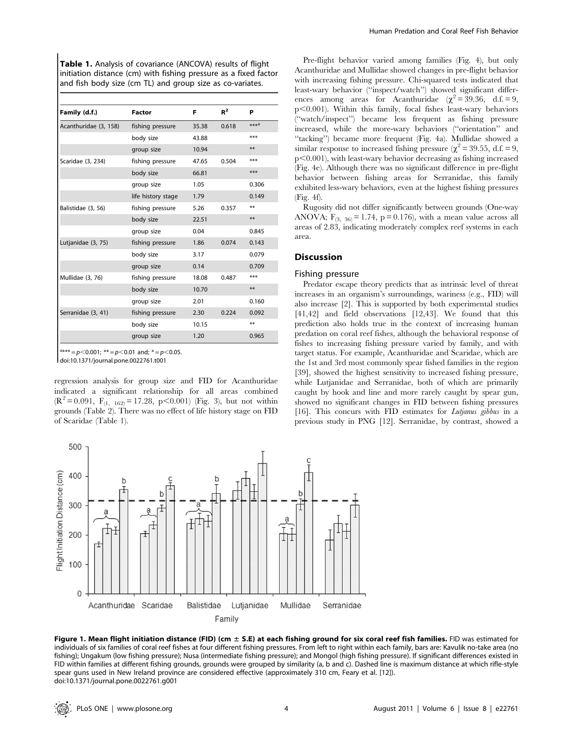Table 1. Analysis of covariance (ANCOVA) results of flight initiation distance (cm) with fishing pressure as a fixed factor and fish body size (cm TL) and group size as co-variates.

| Family (d.f.)         | <b>Factor</b>      | F     | $R^2$ | P      |  |
|-----------------------|--------------------|-------|-------|--------|--|
| Acanthuridae (3, 158) | fishing pressure   | 35.38 | 0.618 | $***a$ |  |
|                       | body size          | 43.88 |       | ***    |  |
|                       | group size         | 10.94 |       | $**$   |  |
| Scaridae (3, 234)     | fishing pressure   | 47.65 | 0.504 | ***    |  |
|                       | body size          | 66.81 |       | ***    |  |
|                       | group size         | 1.05  |       | 0.306  |  |
|                       | life history stage | 1.79  |       | 0.149  |  |
| Balistidae (3, 56)    | fishing pressure   | 5.26  | 0.357 | $***$  |  |
|                       | body size          | 22.51 |       | **     |  |
|                       | group size         | 0.04  |       | 0.845  |  |
| Lutjanidae (3, 75)    | fishing pressure   | 1.86  | 0.074 | 0.143  |  |
|                       | body size          | 3.17  |       | 0.079  |  |
|                       | group size         | 0.14  |       | 0.709  |  |
| Mullidae (3, 76)      | fishing pressure   | 18.08 | 0.487 | ***    |  |
|                       | body size          | 10.70 |       | $**$   |  |
|                       | group size         | 2.01  |       | 0.160  |  |
| Serranidae (3, 41)    | fishing pressure   | 2.30  | 0.224 | 0.092  |  |
|                       | body size          | 10.15 |       | $***$  |  |
|                       | group size         | 1.20  |       | 0.965  |  |

 $a*** = p<0.001$ ;  $** = p<0.01$  and;  $* = p<0.05$ .

doi:10.1371/journal.pone.0022761.t001

regression analysis for group size and FID for Acanthuridae indicated a significant relationship for all areas combined  $(R^2 = 0.091, F_{(1, 162)} = 17.28, p < 0.001)$  (Fig. 3), but not within grounds (Table 2). There was no effect of life history stage on FID of Scaridae (Table 1).

Pre-flight behavior varied among families (Fig. 4), but only Acanthuridae and Mullidae showed changes in pre-flight behavior with increasing fishing pressure. Chi-squared tests indicated that least-wary behavior (''inspect/watch'') showed significant differences among areas for Acanthuridae ( $\chi^2 = 39.36$ , d.f. = 9,  $p<0.001$ ). Within this family, focal fishes least-wary behaviors (''watch/inspect'') became less frequent as fishing pressure increased, while the more-wary behaviors (''orientation'' and ''tacking'') became more frequent (Fig. 4a). Mullidae showed a similar response to increased fishing pressure ( $\chi^2$  = 39.55, d.f. = 9,  $p<0.001$ ), with least-wary behavior decreasing as fishing increased (Fig. 4e). Although there was no significant difference in pre-flight behavior between fishing areas for Serranidae, this family exhibited less-wary behaviors, even at the highest fishing pressures (Fig. 4f).

Rugosity did not differ significantly between grounds (One-way ANOVA;  $F_{(3, 36)} = 1.74$ , p = 0.176), with a mean value across all areas of 2.83, indicating moderately complex reef systems in each area.

#### Discussion

#### Fishing pressure

Predator escape theory predicts that as intrinsic level of threat increases in an organism's surroundings, wariness (e.g., FID) will also increase [2]. This is supported by both experimental studies [41,42] and field observations [12,43]. We found that this prediction also holds true in the context of increasing human predation on coral reef fishes, although the behavioral response of fishes to increasing fishing pressure varied by family, and with target status. For example, Acanthuridae and Scaridae, which are the 1st and 3rd most commonly spear fished families in the region [39], showed the highest sensitivity to increased fishing pressure, while Lutjanidae and Serranidae, both of which are primarily caught by hook and line and more rarely caught by spear gun, showed no significant changes in FID between fishing pressures [16]. This concurs with FID estimates for Lutjanus gibbus in a previous study in PNG [12]. Serranidae, by contrast, showed a



Figure 1. Mean flight initiation distance (FID) (cm  $\pm$  S.E) at each fishing ground for six coral reef fish families. FID was estimated for individuals of six families of coral reef fishes at four different fishing pressures. From left to right within each family, bars are: Kavulik no-take area (no fishing); Ungakum (low fishing pressure); Nusa (intermediate fishing pressure); and Mongol (high fishing pressure). If significant differences existed in FID within families at different fishing grounds, grounds were grouped by similarity (a, b and c). Dashed line is maximum distance at which rifle-style spear guns used in New Ireland province are considered effective (approximately 310 cm, Feary et al. [12]). doi:10.1371/journal.pone.0022761.g001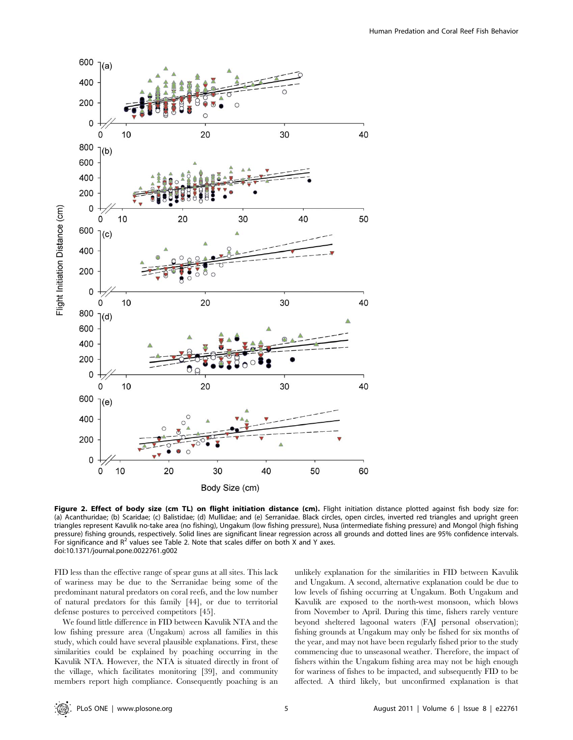

Figure 2. Effect of body size (cm TL) on flight initiation distance (cm). Flight initiation distance plotted against fish body size for: (a) Acanthuridae; (b) Scaridae; (c) Balistidae; (d) Mullidae; and (e) Serranidae. Black circles, open circles, inverted red triangles and upright green triangles represent Kavulik no-take area (no fishing), Ungakum (low fishing pressure), Nusa (intermediate fishing pressure) and Mongol (high fishing pressure) fishing grounds, respectively. Solid lines are significant linear regression across all grounds and dotted lines are 95% confidence intervals. For significance and  $R^2$  values see Table 2. Note that scales differ on both X and Y axes. doi:10.1371/journal.pone.0022761.g002

FID less than the effective range of spear guns at all sites. This lack of wariness may be due to the Serranidae being some of the predominant natural predators on coral reefs, and the low number of natural predators for this family [44], or due to territorial defense postures to perceived competitors [45].

We found little difference in FID between Kavulik NTA and the low fishing pressure area (Ungakum) across all families in this study, which could have several plausible explanations. First, these similarities could be explained by poaching occurring in the Kavulik NTA. However, the NTA is situated directly in front of the village, which facilitates monitoring [39], and community members report high compliance. Consequently poaching is an unlikely explanation for the similarities in FID between Kavulik and Ungakum. A second, alternative explanation could be due to low levels of fishing occurring at Ungakum. Both Ungakum and Kavulik are exposed to the north-west monsoon, which blows from November to April. During this time, fishers rarely venture beyond sheltered lagoonal waters (FAJ personal observation); fishing grounds at Ungakum may only be fished for six months of the year, and may not have been regularly fished prior to the study commencing due to unseasonal weather. Therefore, the impact of fishers within the Ungakum fishing area may not be high enough for wariness of fishes to be impacted, and subsequently FID to be affected. A third likely, but unconfirmed explanation is that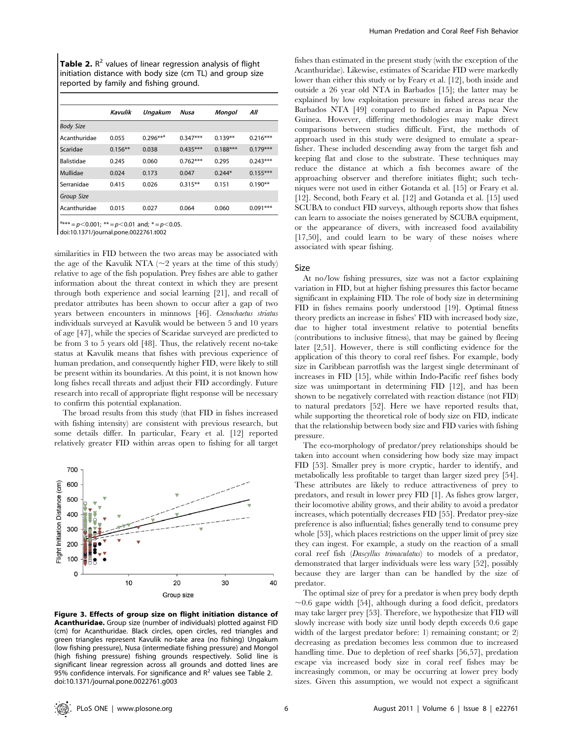**Table 2.**  $R^2$  values of linear regression analysis of flight initiation distance with body size (cm TL) and group size reported by family and fishing ground.

|                   | Kavulik   | Ungakum                 | Nusa       | Mongol     | All        |
|-------------------|-----------|-------------------------|------------|------------|------------|
| <b>Body Size</b>  |           |                         |            |            |            |
| Acanthuridae      | 0.055     | $0.296***$ <sup>a</sup> | $0.347***$ | $0.139**$  | $0.216***$ |
| Scaridae          | $0.156**$ | 0.038                   | $0.435***$ | $0.188***$ | $0.179***$ |
| <b>Balistidae</b> | 0.245     | 0.060                   | $0.762***$ | 0.295      | $0.243***$ |
| Mullidae          | 0.024     | 0.173                   | 0.047      | $0.244*$   | $0.155***$ |
| Serranidae        | 0.415     | 0.026                   | $0.315***$ | 0.151      | $0.190**$  |
| Group Size        |           |                         |            |            |            |
| Acanthuridae      | 0.015     | 0.027                   | 0.064      | 0.060      | $0.091***$ |

 $a_{***} = p<0.001$ ;  $** = p<0.01$  and;  $* = p<0.05$ .

doi:10.1371/journal.pone.0022761.t002

similarities in FID between the two areas may be associated with the age of the Kavulik NTA ( $\sim$ 2 years at the time of this study) relative to age of the fish population. Prey fishes are able to gather information about the threat context in which they are present through both experience and social learning [21], and recall of predator attributes has been shown to occur after a gap of two years between encounters in minnows [46]. Ctenochaetus striatus individuals surveyed at Kavulik would be between 5 and 10 years of age [47], while the species of Scaridae surveyed are predicted to be from 3 to 5 years old [48]. Thus, the relatively recent no-take status at Kavulik means that fishes with previous experience of human predation, and consequently higher FID, were likely to still be present within its boundaries. At this point, it is not known how long fishes recall threats and adjust their FID accordingly. Future research into recall of appropriate flight response will be necessary to confirm this potential explanation.

The broad results from this study (that FID in fishes increased with fishing intensity) are consistent with previous research, but some details differ. In particular, Feary et al. [12] reported relatively greater FID within areas open to fishing for all target



Figure 3. Effects of group size on flight initiation distance of Acanthuridae. Group size (number of individuals) plotted against FID (cm) for Acanthuridae. Black circles, open circles, red triangles and green triangles represent Kavulik no-take area (no fishing) Ungakum (low fishing pressure), Nusa (intermediate fishing pressure) and Mongol (high fishing pressure) fishing grounds respectively. Solid line is significant linear regression across all grounds and dotted lines are 95% confidence intervals. For significance and  $R^2$  values see Table 2. doi:10.1371/journal.pone.0022761.g003

fishes than estimated in the present study (with the exception of the Acanthuridae). Likewise, estimates of Scaridae FID were markedly lower than either this study or by Feary et al. [12], both inside and outside a 26 year old NTA in Barbados [15]; the latter may be explained by low exploitation pressure in fished areas near the Barbados NTA [49] compared to fished areas in Papua New Guinea. However, differing methodologies may make direct comparisons between studies difficult. First, the methods of approach used in this study were designed to emulate a spearfisher. These included descending away from the target fish and keeping flat and close to the substrate. These techniques may reduce the distance at which a fish becomes aware of the approaching observer and therefore initiates flight; such techniques were not used in either Gotanda et al. [15] or Feary et al. [12]. Second, both Feary et al. [12] and Gotanda et al. [15] used SCUBA to conduct FID surveys, although reports show that fishes can learn to associate the noises generated by SCUBA equipment, or the appearance of divers, with increased food availability [17,50], and could learn to be wary of these noises where associated with spear fishing.

#### Size

At no/low fishing pressures, size was not a factor explaining variation in FID, but at higher fishing pressures this factor became significant in explaining FID. The role of body size in determining FID in fishes remains poorly understood [19]. Optimal fitness theory predicts an increase in fishes' FID with increased body size, due to higher total investment relative to potential benefits (contributions to inclusive fitness), that may be gained by fleeing later [2,51]. However, there is still conflicting evidence for the application of this theory to coral reef fishes. For example, body size in Caribbean parrotfish was the largest single determinant of increases in FID [15], while within Indo-Pacific reef fishes body size was unimportant in determining FID [12], and has been shown to be negatively correlated with reaction distance (not FID) to natural predators [52]. Here we have reported results that, while supporting the theoretical role of body size on FID, indicate that the relationship between body size and FID varies with fishing pressure.

The eco-morphology of predator/prey relationships should be taken into account when considering how body size may impact FID [53]. Smaller prey is more cryptic, harder to identify, and metabolically less profitable to target than larger sized prey [54]. These attributes are likely to reduce attractiveness of prey to predators, and result in lower prey FID [1]. As fishes grow larger, their locomotive ability grows, and their ability to avoid a predator increases, which potentially decreases FID [55]. Predator prey-size preference is also influential; fishes generally tend to consume prey whole [53], which places restrictions on the upper limit of prey size they can ingest. For example, a study on the reaction of a small coral reef fish (Dascyllus trimaculatus) to models of a predator, demonstrated that larger individuals were less wary [52], possibly because they are larger than can be handled by the size of predator.

The optimal size of prey for a predator is when prey body depth  $\sim$ 0.6 gape width [54], although during a food deficit, predators may take larger prey [53]. Therefore, we hypothesize that FID will slowly increase with body size until body depth exceeds 0.6 gape width of the largest predator before: 1) remaining constant; or 2) decreasing as predation becomes less common due to increased handling time. Due to depletion of reef sharks [56,57], predation escape via increased body size in coral reef fishes may be increasingly common, or may be occurring at lower prey body sizes. Given this assumption, we would not expect a significant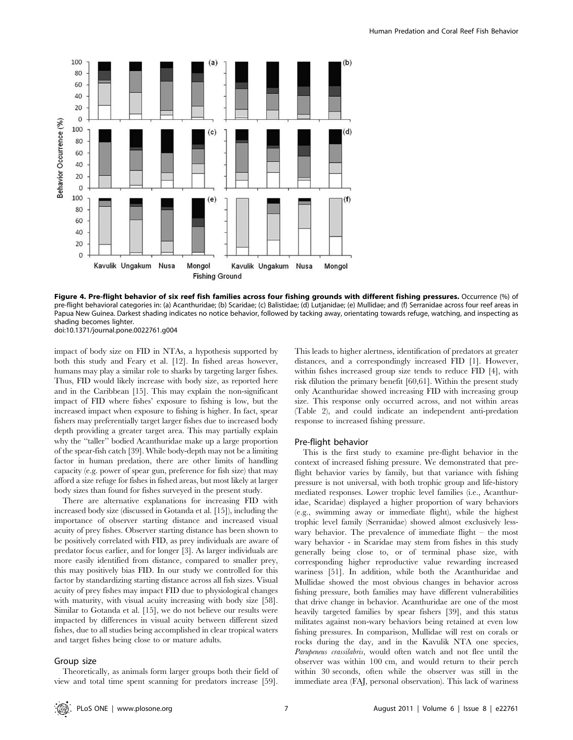

Figure 4. Pre-flight behavior of six reef fish families across four fishing grounds with different fishing pressures. Occurrence (%) of pre-flight behavioral categories in: (a) Acanthuridae; (b) Scaridae; (c) Balistidae; (d) Lutjanidae; (e) Mullidae; and (f) Serranidae across four reef areas in Papua New Guinea. Darkest shading indicates no notice behavior, followed by tacking away, orientating towards refuge, watching, and inspecting as shading becomes lighter. doi:10.1371/journal.pone.0022761.g004

impact of body size on FID in NTAs, a hypothesis supported by both this study and Feary et al. [12]. In fished areas however, humans may play a similar role to sharks by targeting larger fishes. Thus, FID would likely increase with body size, as reported here and in the Caribbean [15]. This may explain the non-significant impact of FID where fishes' exposure to fishing is low, but the increased impact when exposure to fishing is higher. In fact, spear fishers may preferentially target larger fishes due to increased body depth providing a greater target area. This may partially explain why the ''taller'' bodied Acanthuridae make up a large proportion of the spear-fish catch [39]. While body-depth may not be a limiting factor in human predation, there are other limits of handling capacity (e.g. power of spear gun, preference for fish size) that may afford a size refuge for fishes in fished areas, but most likely at larger body sizes than found for fishes surveyed in the present study.

There are alternative explanations for increasing FID with increased body size (discussed in Gotanda et al. [15]), including the importance of observer starting distance and increased visual acuity of prey fishes. Observer starting distance has been shown to be positively correlated with FID, as prey individuals are aware of predator focus earlier, and for longer [3]. As larger individuals are more easily identified from distance, compared to smaller prey, this may positively bias FID. In our study we controlled for this factor by standardizing starting distance across all fish sizes. Visual acuity of prey fishes may impact FID due to physiological changes with maturity, with visual acuity increasing with body size [58]. Similar to Gotanda et al. [15], we do not believe our results were impacted by differences in visual acuity between different sized fishes, due to all studies being accomplished in clear tropical waters and target fishes being close to or mature adults.

#### Group size

Theoretically, as animals form larger groups both their field of view and total time spent scanning for predators increase [59].

This leads to higher alertness, identification of predators at greater distances, and a correspondingly increased FID [1]. However, within fishes increased group size tends to reduce FID [4], with risk dilution the primary benefit [60,61]. Within the present study only Acanthuridae showed increasing FID with increasing group size. This response only occurred across, and not within areas (Table 2), and could indicate an independent anti-predation response to increased fishing pressure.

#### Pre-flight behavior

This is the first study to examine pre-flight behavior in the context of increased fishing pressure. We demonstrated that preflight behavior varies by family, but that variance with fishing pressure is not universal, with both trophic group and life-history mediated responses. Lower trophic level families (i.e., Acanthuridae, Scaridae) displayed a higher proportion of wary behaviors (e.g., swimming away or immediate flight), while the highest trophic level family (Serranidae) showed almost exclusively lesswary behavior. The prevalence of immediate flight – the most wary behavior - in Scaridae may stem from fishes in this study generally being close to, or of terminal phase size, with corresponding higher reproductive value rewarding increased wariness [51]. In addition, while both the Acanthuridae and Mullidae showed the most obvious changes in behavior across fishing pressure, both families may have different vulnerabilities that drive change in behavior. Acanthuridae are one of the most heavily targeted families by spear fishers [39], and this status militates against non-wary behaviors being retained at even low fishing pressures. In comparison, Mullidae will rest on corals or rocks during the day, and in the Kavulik NTA one species, Parupeneus crassilabris, would often watch and not flee until the observer was within 100 cm, and would return to their perch within 30 seconds, often while the observer was still in the immediate area (FAJ, personal observation). This lack of wariness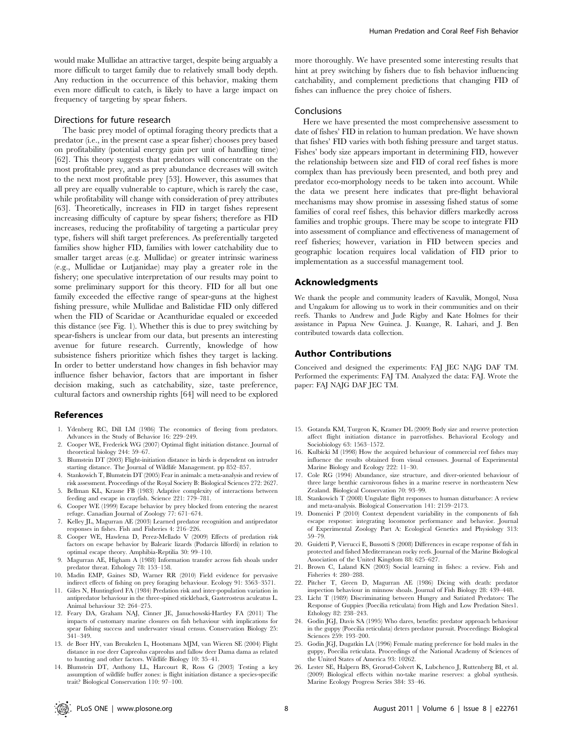would make Mullidae an attractive target, despite being arguably a more difficult to target family due to relatively small body depth. Any reduction in the occurrence of this behavior, making them even more difficult to catch, is likely to have a large impact on frequency of targeting by spear fishers.

#### Directions for future research

The basic prey model of optimal foraging theory predicts that a predator (i.e., in the present case a spear fisher) chooses prey based on profitability (potential energy gain per unit of handling time) [62]. This theory suggests that predators will concentrate on the most profitable prey, and as prey abundance decreases will switch to the next most profitable prey [53]. However, this assumes that all prey are equally vulnerable to capture, which is rarely the case, while profitability will change with consideration of prey attributes [63]. Theoretically, increases in FID in target fishes represent increasing difficulty of capture by spear fishers; therefore as FID increases, reducing the profitability of targeting a particular prey type, fishers will shift target preferences. As preferentially targeted families show higher FID, families with lower catchability due to smaller target areas (e.g. Mullidae) or greater intrinsic wariness (e.g., Mullidae or Lutjanidae) may play a greater role in the fishery; one speculative interpretation of our results may point to some preliminary support for this theory. FID for all but one family exceeded the effective range of spear-guns at the highest fishing pressure, while Mullidae and Balistidae FID only differed when the FID of Scaridae or Acanthuridae equaled or exceeded this distance (see Fig. 1). Whether this is due to prey switching by spear-fishers is unclear from our data, but presents an interesting avenue for future research. Currently, knowledge of how subsistence fishers prioritize which fishes they target is lacking. In order to better understand how changes in fish behavior may influence fisher behavior, factors that are important in fisher decision making, such as catchability, size, taste preference, cultural factors and ownership rights [64] will need to be explored

### References

- 1. Ydenberg RC, Dill LM (1986) The economics of fleeing from predators. Advances in the Study of Behavior 16: 229–249.
- 2. Cooper WE, Frederick WG (2007) Optimal flight initiation distance. Journal of theoretical biology 244: 59–67.
- 3. Blumstein DT (2003) Flight-initiation distance in birds is dependent on intruder starting distance. The Journal of Wildlife Management. pp 852–857.
- 4. Stankowich T, Blumstein DT (2005) Fear in animals: a meta-analysis and review of risk assessment. Proceedings of the Royal Society B: Biological Sciences 272: 2627.
- 5. Bellman KL, Krasne FB (1983) Adaptive complexity of interactions between feeding and escape in crayfish. Science 221: 779–781.
- 6. Cooper WE (1999) Escape behavior by prey blocked from entering the nearest refuge. Canadian Journal of Zoology 77: 671–674.
- 7. Kelley JL, Magurran AE (2003) Learned predator recognition and antipredator responses in fishes. Fish and Fisheries 4: 216–226.
- 8. Cooper WE, Hawlena D, Perez-Mellado V (2009) Effects of predation risk factors on escape behavior by Balearic lizards (Podarcis lilfordi) in relation to optimal escape theory. Amphibia-Reptilia 30: 99–110.
- 9. Magurran AE, Higham A (1988) Information transfer across fish shoals under predator threat. Ethology 78: 153–158.
- 10. Madin EMP, Gaines SD, Warner RR (2010) Field evidence for pervasive indirect effects of fishing on prey foraging behaviour. Ecology 91: 3563–3571.
- 11. Giles N, Huntingford FA (1984) Predation risk and inter-population variation in antipredator behaviour in the three-spined stickleback, Gasterosteus aculeatus L. Animal behaviour 32: 264–275.
- 12. Feary DA, Graham NAJ, Cinner JE, Januchowski-Hartley FA (2011) The impacts of customary marine closures on fish behaviour with implications for spear fishing success and underwater visual census. Conservation Biology 25: 341–349.
- 13. de Boer HY, van Breukelen L, Hootsmans MJM, van Wieren SE (2004) Flight distance in roe deer Capreolus capreolus and fallow deer Dama dama as related to hunting and other factors. Wildlife Biology 10: 35–41.
- 14. Blumstein DT, Anthony LL, Harcourt R, Ross G (2003) Testing a key assumption of wildlife buffer zones: is flight initiation distance a species-specific trait? Biological Conservation 110: 97–100.

more thoroughly. We have presented some interesting results that hint at prey switching by fishers due to fish behavior influencing catchability, and complement predictions that changing FID of fishes can influence the prey choice of fishers.

## Conclusions

Here we have presented the most comprehensive assessment to date of fishes' FID in relation to human predation. We have shown that fishes' FID varies with both fishing pressure and target status. Fishes' body size appears important in determining FID, however the relationship between size and FID of coral reef fishes is more complex than has previously been presented, and both prey and predator eco-morphology needs to be taken into account. While the data we present here indicates that pre-flight behavioral mechanisms may show promise in assessing fished status of some families of coral reef fishes, this behavior differs markedly across families and trophic groups. There may be scope to integrate FID into assessment of compliance and effectiveness of management of reef fisheries; however, variation in FID between species and geographic location requires local validation of FID prior to implementation as a successful management tool.

#### Acknowledgments

We thank the people and community leaders of Kavulik, Mongol, Nusa and Ungakum for allowing us to work in their communities and on their reefs. Thanks to Andrew and Jude Rigby and Kate Holmes for their assistance in Papua New Guinea. J. Kuange, R. Lahari, and J. Ben contributed towards data collection.

### Author Contributions

Conceived and designed the experiments: FAJ JEC NAJG DAF TM. Performed the experiments: FAJ TM. Analyzed the data: FAJ. Wrote the paper: FAJ NAJG DAF JEC TM.

- 15. Gotanda KM, Turgeon K, Kramer DL (2009) Body size and reserve protection affect flight initiation distance in parrotfishes. Behavioral Ecology and Sociobiology 63: 1563–1572.
- 16. Kulbicki M (1998) How the acquired behaviour of commercial reef fishes may influence the results obtained from visual censuses. Journal of Experimental Marine Biology and Ecology 222: 11–30.
- 17. Cole RG (1994) Abundance, size structure, and diver-oriented behaviour of three large benthic carnivorous fishes in a marine reserve in northeastern New Zealand. Biological Conservation 70: 93–99.
- 18. Stankowich T (2008) Ungulate flight responses to human disturbance: A review and meta-analysis. Biological Conservation 141: 2159–2173.
- 19. Domenici P (2010) Context dependent variability in the components of fish escape response: integrating locomotor performance and behavior. Journal of Experimental Zoology Part A: Ecological Genetics and Physiology 313: 59–79.
- 20. Guidetti P, Vierucci E, Bussotti S (2008) Differences in escape response of fish in protected and fished Mediterranean rocky reefs. Journal of the Marine Biological Association of the United Kingdom 88: 625–627.
- 21. Brown C, Laland KN (2003) Social learning in fishes: a review. Fish and Fisheries 4: 280–288.
- 22. Pitcher T, Green D, Magurran AE (1986) Dicing with death: predator inspection behaviour in minnow shoals. Journal of Fish Biology 28: 439–448.
- 23. Licht T (1989) Discriminating between Hungry and Satiated Predators: The Response of Guppies (Poecilia reticulata) from High and Low Predation Sites1. Ethology 82: 238–243.
- 24. Godin JGJ, Davis SA (1995) Who dares, benefits: predator approach behaviour in the guppy (Poecilia reticulata) deters predator pursuit. Proceedings: Biological Sciences 259: 193–200.
- 25. Godin JGJ, Dugatkin LA (1996) Female mating preference for bold males in the guppy, Poecilia reticulata. Proceedings of the National Academy of Sciences of the United States of America 93: 10262.
- 26. Lester SE, Halpern BS, Grorud-Colvert K, Lubchenco J, Ruttenberg BI, et al. (2009) Biological effects within no-take marine reserves: a global synthesis. Marine Ecology Progress Series 384: 33–46.